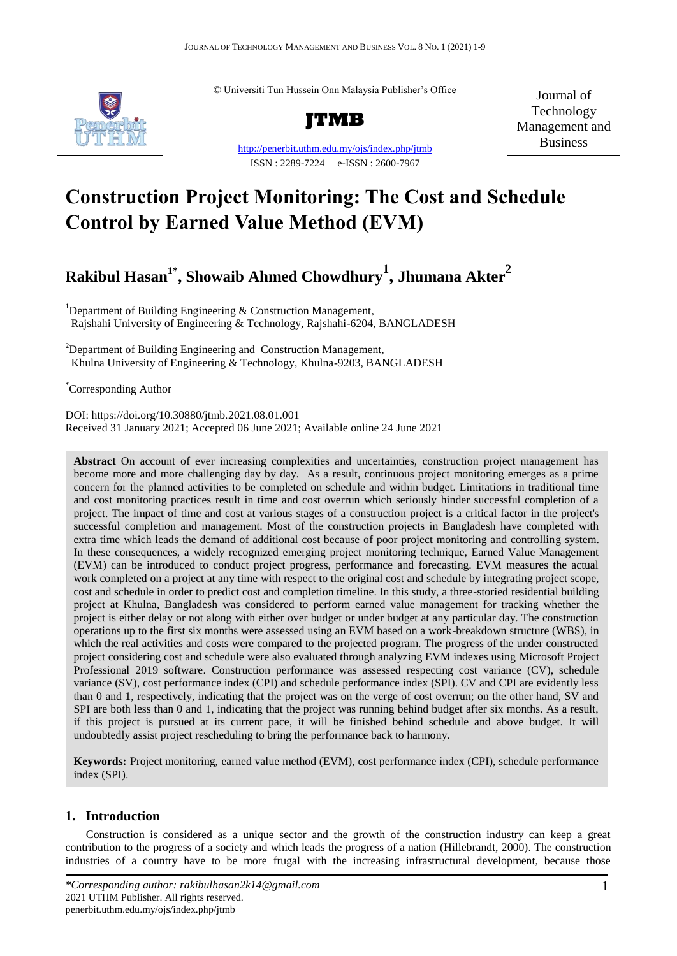

© Universiti Tun Hussein Onn Malaysia Publisher's Office



http://penerbit.uthm.edu.my/ojs/index.php/jtmb ISSN : 2289-7224 e-ISSN : 2600-7967

Journal of Technology Management and Business

# **Construction Project Monitoring: The Cost and Schedule Control by Earned Value Method (EVM)**

# **Rakibul Hasan1\* , Showaib Ahmed Chowdhury<sup>1</sup> , Jhumana Akter<sup>2</sup>**

<sup>1</sup>Department of Building Engineering  $&$  Construction Management, Rajshahi University of Engineering & Technology, Rajshahi-6204, BANGLADESH

 $2D$ epartment of Building Engineering and Construction Management, Khulna University of Engineering & Technology, Khulna-9203, BANGLADESH

\*Corresponding Author

DOI: https://doi.org/10.30880/jtmb.2021.08.01.001 Received 31 January 2021; Accepted 06 June 2021; Available online 24 June 2021

**Abstract** On account of ever increasing complexities and uncertainties, construction project management has become more and more challenging day by day. As a result, continuous project monitoring emerges as a prime concern for the planned activities to be completed on schedule and within budget. Limitations in traditional time and cost monitoring practices result in time and cost overrun which seriously hinder successful completion of a project. The impact of time and cost at various stages of a construction project is a critical factor in the project's successful completion and management. Most of the construction projects in Bangladesh have completed with extra time which leads the demand of additional cost because of poor project monitoring and controlling system. In these consequences, a widely recognized emerging project monitoring technique, Earned Value Management (EVM) can be introduced to conduct project progress, performance and forecasting. EVM measures the actual work completed on a project at any time with respect to the original cost and schedule by integrating project scope, cost and schedule in order to predict cost and completion timeline. In this study, a three-storied residential building project at Khulna, Bangladesh was considered to perform earned value management for tracking whether the project is either delay or not along with either over budget or under budget at any particular day. The construction operations up to the first six months were assessed using an EVM based on a work-breakdown structure (WBS), in which the real activities and costs were compared to the projected program. The progress of the under constructed project considering cost and schedule were also evaluated through analyzing EVM indexes using Microsoft Project Professional 2019 software. Construction performance was assessed respecting cost variance (CV), schedule variance (SV), cost performance index (CPI) and schedule performance index (SPI). CV and CPI are evidently less than 0 and 1, respectively, indicating that the project was on the verge of cost overrun; on the other hand, SV and SPI are both less than 0 and 1, indicating that the project was running behind budget after six months. As a result, if this project is pursued at its current pace, it will be finished behind schedule and above budget. It will undoubtedly assist project rescheduling to bring the performance back to harmony.

**Keywords:** Project monitoring, earned value method (EVM), cost performance index (CPI), schedule performance index (SPI).

# **1. Introduction**

Construction is considered as a unique sector and the growth of the construction industry can keep a great contribution to the progress of a society and which leads the progress of a nation (Hillebrandt, 2000). The construction industries of a country have to be more frugal with the increasing infrastructural development, because those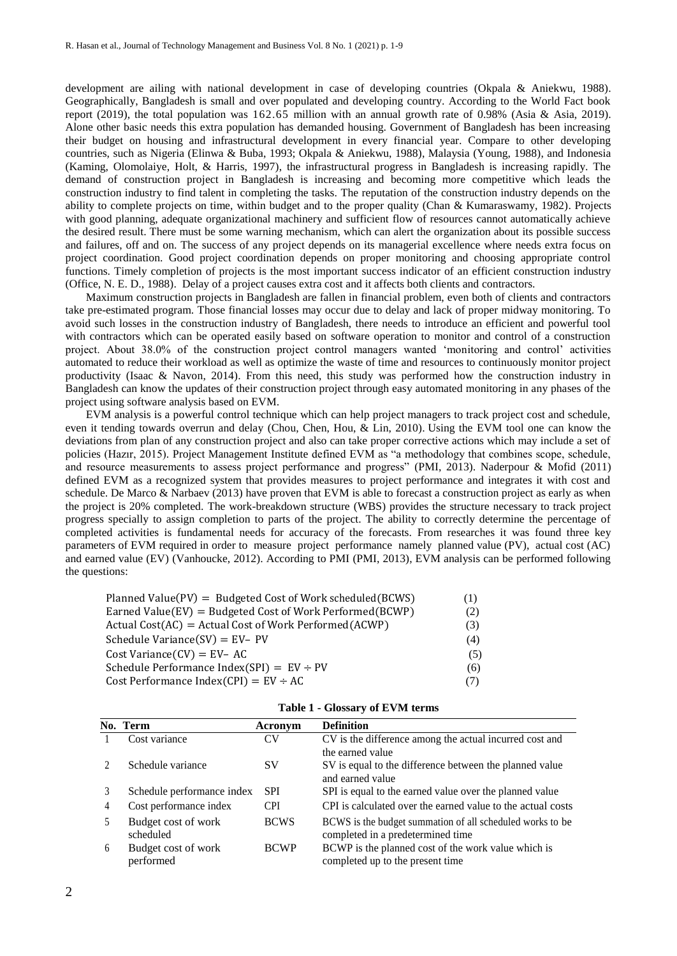development are ailing with national development in case of developing countries (Okpala & Aniekwu, 1988). Geographically, Bangladesh is small and over populated and developing country. According to the World Fact book report (2019), the total population was 162.65 million with an annual growth rate of 0.98% (Asia & Asia, 2019). Alone other basic needs this extra population has demanded housing. Government of Bangladesh has been increasing their budget on housing and infrastructural development in every financial year. Compare to other developing countries, such as Nigeria (Elinwa & Buba, 1993; Okpala & Aniekwu, 1988), Malaysia (Young, 1988), and Indonesia (Kaming, Olomolaiye, Holt, & Harris, 1997), the infrastructural progress in Bangladesh is increasing rapidly. The demand of construction project in Bangladesh is increasing and becoming more competitive which leads the construction industry to find talent in completing the tasks. The reputation of the construction industry depends on the ability to complete projects on time, within budget and to the proper quality (Chan & Kumaraswamy, 1982). Projects with good planning, adequate organizational machinery and sufficient flow of resources cannot automatically achieve the desired result. There must be some warning mechanism, which can alert the organization about its possible success and failures, off and on. The success of any project depends on its managerial excellence where needs extra focus on project coordination. Good project coordination depends on proper monitoring and choosing appropriate control functions. Timely completion of projects is the most important success indicator of an efficient construction industry (Office, N. E. D., 1988). Delay of a project causes extra cost and it affects both clients and contractors.

Maximum construction projects in Bangladesh are fallen in financial problem, even both of clients and contractors take pre-estimated program. Those financial losses may occur due to delay and lack of proper midway monitoring. To avoid such losses in the construction industry of Bangladesh, there needs to introduce an efficient and powerful tool with contractors which can be operated easily based on software operation to monitor and control of a construction project. About 38.0% of the construction project control managers wanted 'monitoring and control' activities automated to reduce their workload as well as optimize the waste of time and resources to continuously monitor project productivity (Isaac & Navon, 2014). From this need, this study was performed how the construction industry in Bangladesh can know the updates of their construction project through easy automated monitoring in any phases of the project using software analysis based on EVM.

EVM analysis is a powerful control technique which can help project managers to track project cost and schedule, even it tending towards overrun and delay (Chou, Chen, Hou, & Lin, 2010). Using the EVM tool one can know the deviations from plan of any construction project and also can take proper corrective actions which may include a set of policies (Hazır, 2015). Project Management Institute defined EVM as "a methodology that combines scope, schedule, and resource measurements to assess project performance and progress" (PMI, 2013). Naderpour & Mofid (2011) defined EVM as a recognized system that provides measures to project performance and integrates it with cost and schedule. De Marco & Narbaev (2013) have proven that EVM is able to forecast a construction project as early as when the project is 20% completed. The work-breakdown structure (WBS) provides the structure necessary to track project progress specially to assign completion to parts of the project. The ability to correctly determine the percentage of completed activities is fundamental needs for accuracy of the forecasts. From researches it was found three key parameters of EVM required in order to measure project performance namely planned value (PV), actual cost (AC) and earned value (EV) (Vanhoucke, 2012). According to PMI (PMI, 2013), EVM analysis can be performed following the questions:

| Planned Value(PV) = Budgeted Cost of Work scheduled(BCWS) | (1) |
|-----------------------------------------------------------|-----|
| Earned Value(EV) = Budgeted Cost of Work Performed(BCWP)  | (2) |
| $Actual Cost(AC) = Actual Cost of Work Performed(ACWP)$   | (3) |
| Schedule Variance $SV$ = EV- PV                           | (4) |
| $Cost Variance(CV) = EV- AC$                              | (5) |
| Schedule Performance Index(SPI) = $EV \div PV$            | (6) |
| Cost Performance Index(CPI) = $EV \div AC$                | (7) |
|                                                           |     |

|   | No. Term                         | Acronym     | <b>Definition</b>                                                                              |
|---|----------------------------------|-------------|------------------------------------------------------------------------------------------------|
|   | Cost variance                    | CV          | CV is the difference among the actual incurred cost and<br>the earned value                    |
|   | Schedule variance                | <b>SV</b>   | SV is equal to the difference between the planned value<br>and earned value                    |
|   | Schedule performance index       | <b>SPI</b>  | SPI is equal to the earned value over the planned value                                        |
| 4 | Cost performance index           | <b>CPI</b>  | CPI is calculated over the earned value to the actual costs                                    |
|   | Budget cost of work<br>scheduled | <b>BCWS</b> | BCWS is the budget summation of all scheduled works to be<br>completed in a predetermined time |
| 6 | Budget cost of work<br>performed | <b>BCWP</b> | BCWP is the planned cost of the work value which is<br>completed up to the present time        |

| <b>Table 1 - Glossary of EVM terms</b> |  |  |
|----------------------------------------|--|--|
|----------------------------------------|--|--|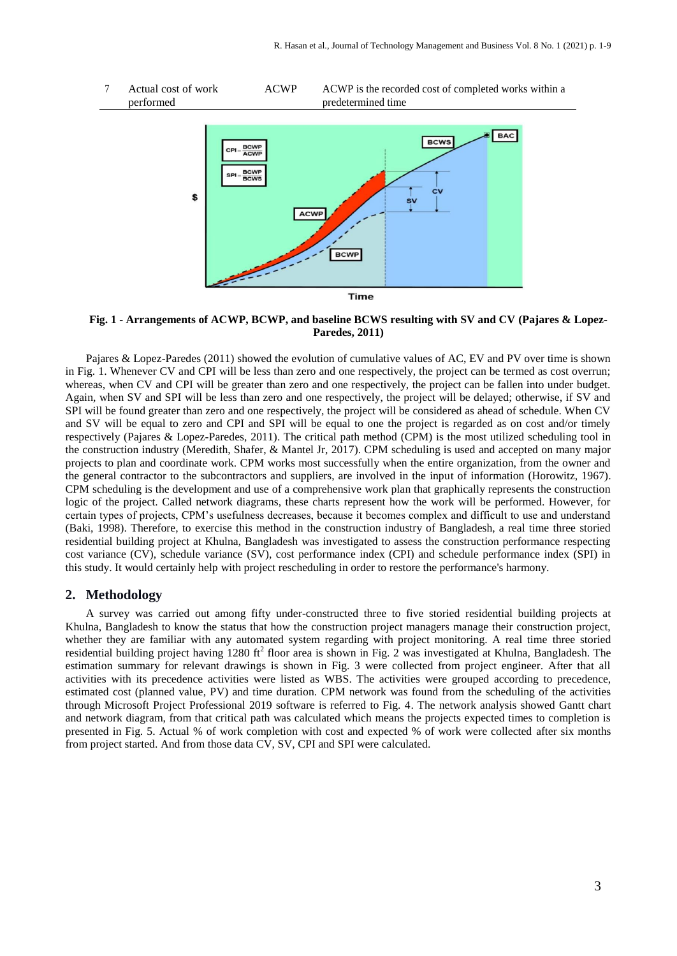

**Fig. 1 - Arrangements of ACWP, BCWP, and baseline BCWS resulting with SV and CV (Pajares & Lopez-Paredes, 2011)**

Pajares & Lopez-Paredes (2011) showed the evolution of cumulative values of AC, EV and PV over time is shown in Fig. 1. Whenever CV and CPI will be less than zero and one respectively, the project can be termed as cost overrun; whereas, when CV and CPI will be greater than zero and one respectively, the project can be fallen into under budget. Again, when SV and SPI will be less than zero and one respectively, the project will be delayed; otherwise, if SV and SPI will be found greater than zero and one respectively, the project will be considered as ahead of schedule. When CV and SV will be equal to zero and CPI and SPI will be equal to one the project is regarded as on cost and/or timely respectively (Pajares & Lopez-Paredes, 2011). The critical path method (CPM) is the most utilized scheduling tool in the construction industry (Meredith, Shafer, & Mantel Jr, 2017). CPM scheduling is used and accepted on many major projects to plan and coordinate work. CPM works most successfully when the entire organization, from the owner and the general contractor to the subcontractors and suppliers, are involved in the input of information (Horowitz, 1967). CPM scheduling is the development and use of a comprehensive work plan that graphically represents the construction logic of the project. Called network diagrams, these charts represent how the work will be performed. However, for certain types of projects, CPM's usefulness decreases, because it becomes complex and difficult to use and understand (Baki, 1998). Therefore, to exercise this method in the construction industry of Bangladesh, a real time three storied residential building project at Khulna, Bangladesh was investigated to assess the construction performance respecting cost variance (CV), schedule variance (SV), cost performance index (CPI) and schedule performance index (SPI) in this study. It would certainly help with project rescheduling in order to restore the performance's harmony.

#### **2. Methodology**

A survey was carried out among fifty under-constructed three to five storied residential building projects at Khulna, Bangladesh to know the status that how the construction project managers manage their construction project, whether they are familiar with any automated system regarding with project monitoring. A real time three storied residential building project having 1280 ft<sup>2</sup> floor area is shown in Fig. 2 was investigated at Khulna, Bangladesh. The estimation summary for relevant drawings is shown in Fig. 3 were collected from project engineer. After that all activities with its precedence activities were listed as WBS. The activities were grouped according to precedence, estimated cost (planned value, PV) and time duration. CPM network was found from the scheduling of the activities through Microsoft Project Professional 2019 software is referred to Fig. 4. The network analysis showed Gantt chart and network diagram, from that critical path was calculated which means the projects expected times to completion is presented in Fig. 5. Actual % of work completion with cost and expected % of work were collected after six months from project started. And from those data CV, SV, CPI and SPI were calculated.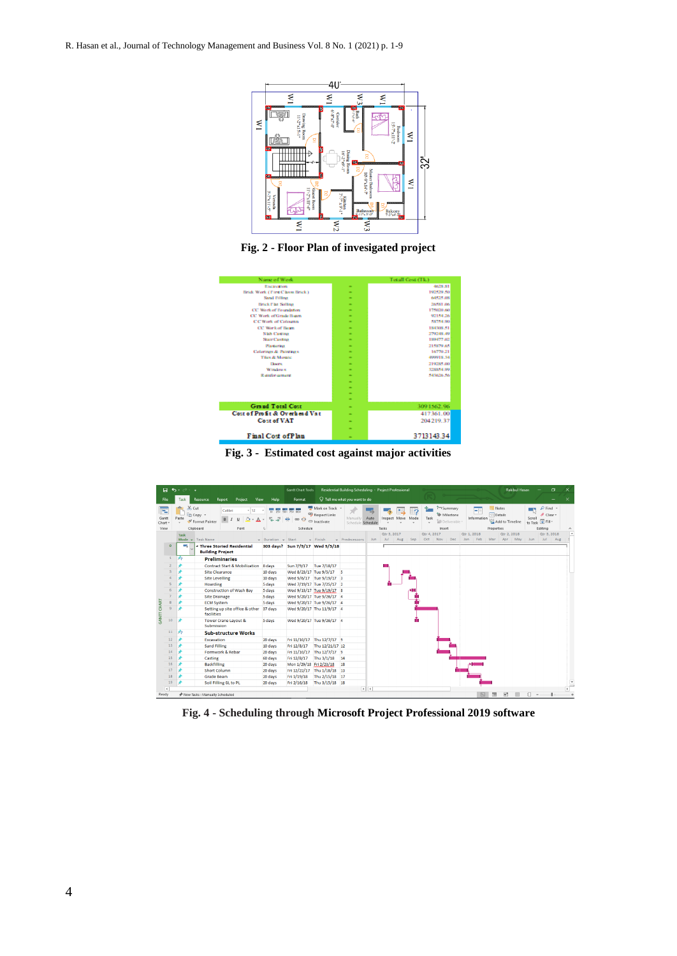

**Fig. 2 - Floor Plan of invesigated project**



**Fig. 3 - Estimated cost against major activities**

| 日.                                 | $-5.0$                    | - 7                                                                            |                                                                | <b>Gantt Chart Tools</b>        |                                               | Residential Building Scheduling - Project Professional |             |                            |     |             |                                                           |                  |                                                   | <b>Rakibul Hasan</b>                | $\sigma$                                                    | $\times$         |
|------------------------------------|---------------------------|--------------------------------------------------------------------------------|----------------------------------------------------------------|---------------------------------|-----------------------------------------------|--------------------------------------------------------|-------------|----------------------------|-----|-------------|-----------------------------------------------------------|------------------|---------------------------------------------------|-------------------------------------|-------------------------------------------------------------|------------------|
| File                               | Task                      | Resource<br>Report<br>Project<br>View                                          | Help                                                           | Format                          |                                               | $Q$ Tell me what you want to do                        |             |                            |     |             |                                                           |                  |                                                   |                                     |                                                             | $\times$         |
| E<br>Gantt<br>Chart-<br>View       | $\chi$ Cut<br>رڪ<br>Paste | $-12$<br>Calibri<br>En Copy *<br>$\,$ B<br>Format Painter<br>Clipboard<br>Font | $rac{1}{2}$<br>254<br>反                                        | Room<br>ක දර<br>Schedule        | Mark on Track -<br>Respect Links<br>nactivate | Manually<br>Schedule Schedule                          | Auto        | Inspect Move Mode<br>Tasks | n   | Task        | <b>1-</b> Summary<br>Milestone<br>Deliverable -<br>Insert | н<br>Information | Notes<br>Details<br>Add to Timeline<br>Properties | $\blacksquare$<br>Scroll<br>to Task | $\mathcal{Q}$ Find $\sim$<br>Clear v<br>V Fill -<br>Editing | $\wedge$         |
|                                    | Task                      |                                                                                |                                                                |                                 |                                               |                                                        |             | Otr 3, 2017                |     | Otr 4, 2017 |                                                           | Otr 1, 2018      | Qtr 2, 2018                                       |                                     | Qtr 3, 2018                                                 | $\blacktriangle$ |
|                                    |                           | Mode $\div$ Task Name                                                          | $\overline{\mathbf{v}}$ Duration $\overline{\mathbf{v}}$ Start |                                 | $-$ Finish                                    | Predecessors                                           | Jun         | Jul<br>Aug                 | Sep | Oct         | Dec<br>Nov                                                | Jan<br>Feb       | Mar<br>Apr                                        | <b>May</b><br>Jun                   | Jul                                                         | Aug              |
| $\Omega$                           | Цy,                       | <b><i>A</i></b> Three Storied Residential<br><b>Building Project</b>           |                                                                | 303 days? Sun 7/9/17 Wed 9/5/18 |                                               |                                                        |             |                            |     |             |                                                           |                  |                                                   |                                     |                                                             |                  |
|                                    | 办                         | <b>Preliminaries</b>                                                           |                                                                |                                 |                                               |                                                        |             |                            |     |             |                                                           |                  |                                                   |                                     |                                                             |                  |
|                                    |                           | <b>Contract Start &amp; Mobilization</b>                                       | 8 days                                                         | Sun 7/9/17                      | Tue 7/18/17                                   |                                                        |             |                            |     |             |                                                           |                  |                                                   |                                     |                                                             |                  |
|                                    |                           | <b>Site Clearance</b>                                                          | 10 days                                                        |                                 | Wed 8/23/17 Tue 9/5/17 5                      |                                                        |             |                            |     |             |                                                           |                  |                                                   |                                     |                                                             |                  |
|                                    |                           | <b>Site Levelling</b>                                                          | 10 days                                                        |                                 | Wed 9/6/17 Tue 9/19/17 3                      |                                                        |             |                            |     |             |                                                           |                  |                                                   |                                     |                                                             |                  |
|                                    |                           | Hoarding                                                                       | 5 days                                                         |                                 | Wed 7/19/17 Tue 7/25/17 2                     |                                                        |             |                            |     |             |                                                           |                  |                                                   |                                     |                                                             |                  |
|                                    |                           | <b>Construction of Wash Bay</b>                                                | 5 days                                                         |                                 | Wed 9/13/17 Tue 9/19/17 8                     |                                                        |             |                            |     |             |                                                           |                  |                                                   |                                     |                                                             |                  |
|                                    |                           | <b>Site Drainage</b>                                                           | 5 days                                                         |                                 | Wed 9/20/17 Tue 9/26/17 4                     |                                                        |             |                            |     |             |                                                           |                  |                                                   |                                     |                                                             |                  |
|                                    |                           | <b>ECM System</b>                                                              | 5 days                                                         |                                 | Wed 9/20/17 Tue 9/26/17 4                     |                                                        |             |                            |     |             |                                                           |                  |                                                   |                                     |                                                             |                  |
| <b>GANTT CHART</b><br>$\mathbf{Q}$ |                           | Setting up site office & other<br>facilities                                   | 37 days                                                        |                                 | Wed 9/20/17 Thu 11/9/17 4                     |                                                        |             |                            |     |             |                                                           |                  |                                                   |                                     |                                                             |                  |
| 10 <sup>°</sup>                    |                           | <b>Tower Crane Lavout &amp;</b><br>Submission                                  | 5 days                                                         |                                 | Wed 9/20/17 Tue 9/26/17 4                     |                                                        |             |                            |     |             |                                                           |                  |                                                   |                                     |                                                             |                  |
| 11                                 | 添                         | <b>Sub-structure Works</b>                                                     |                                                                |                                 |                                               |                                                        |             |                            |     |             |                                                           |                  |                                                   |                                     |                                                             |                  |
| 12                                 |                           | Excavation                                                                     | 20 days                                                        |                                 | Fri 11/10/17 Thu 12/7/17 9                    |                                                        |             |                            |     |             |                                                           |                  |                                                   |                                     |                                                             |                  |
| 13                                 |                           | <b>Sand Filling</b>                                                            | 10 days                                                        | Fri 12/8/17                     | Thu 12/21/17 12                               |                                                        |             |                            |     |             |                                                           |                  |                                                   |                                     |                                                             |                  |
| 14                                 |                           | Formwork & Rebar                                                               | 20 days                                                        |                                 | Fri 11/10/17 Thu 12/7/17 9                    |                                                        |             |                            |     |             |                                                           |                  |                                                   |                                     |                                                             |                  |
| 15                                 |                           | Casting                                                                        | 60 days                                                        | Fri 12/8/17                     | Thu 3/1/18                                    | 14                                                     |             |                            |     |             |                                                           |                  |                                                   |                                     |                                                             |                  |
| 16                                 |                           | <b>Backfilling</b>                                                             | 20 days                                                        | Mon 1/29/18 Fri 2/23/18         |                                               | 18                                                     |             |                            |     |             |                                                           |                  |                                                   |                                     |                                                             |                  |
| 17                                 |                           | <b>Short Column</b>                                                            | 20 days                                                        |                                 | Fri 12/22/17 Thu 1/18/18 13                   |                                                        |             |                            |     |             |                                                           |                  |                                                   |                                     |                                                             |                  |
| 18                                 |                           | <b>Grade Beam</b>                                                              | 20 days                                                        | Fri 1/19/18                     | Thu 2/15/18 17                                |                                                        |             |                            |     |             |                                                           |                  |                                                   |                                     |                                                             |                  |
| 19                                 |                           | Soil Filling GL to PL                                                          | 20 days                                                        | Fri 2/16/18                     | Thu 3/15/18 18                                |                                                        |             |                            |     |             |                                                           |                  |                                                   |                                     |                                                             |                  |
| $\overline{4}$                     |                           |                                                                                |                                                                |                                 |                                               |                                                        | $ * $ $ * $ |                            |     |             |                                                           |                  |                                                   |                                     |                                                             | ПĒ               |
| Ready                              |                           | New Tasks : Manually Scheduled                                                 |                                                                |                                 |                                               |                                                        |             |                            |     |             |                                                           |                  | 國<br>国                                            | 囲                                   |                                                             |                  |

**Fig. 4 - Scheduling through Microsoft Project Professional 2019 software**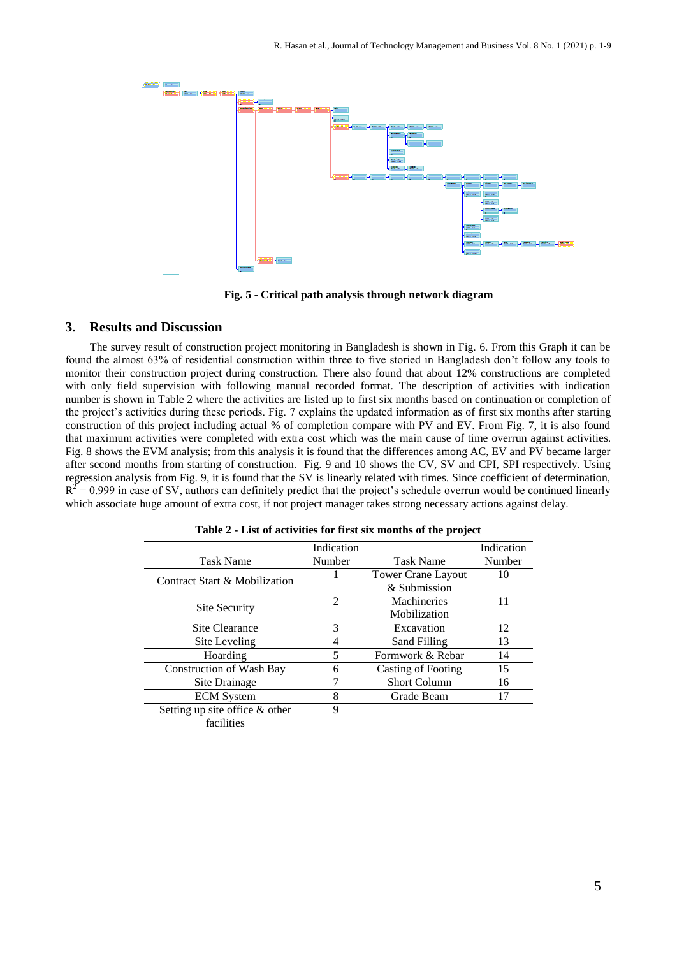

**Fig. 5 - Critical path analysis through network diagram**

### **3. Results and Discussion**

The survey result of construction project monitoring in Bangladesh is shown in Fig. 6. From this Graph it can be found the almost 63% of residential construction within three to five storied in Bangladesh don't follow any tools to monitor their construction project during construction. There also found that about 12% constructions are completed with only field supervision with following manual recorded format. The description of activities with indication number is shown in Table 2 where the activities are listed up to first six months based on continuation or completion of the project's activities during these periods. Fig. 7 explains the updated information as of first six months after starting construction of this project including actual % of completion compare with PV and EV. From Fig. 7, it is also found that maximum activities were completed with extra cost which was the main cause of time overrun against activities. Fig. 8 shows the EVM analysis; from this analysis it is found that the differences among AC, EV and PV became larger after second months from starting of construction. Fig. 9 and 10 shows the CV, SV and CPI, SPI respectively. Using regression analysis from Fig. 9, it is found that the SV is linearly related with times. Since coefficient of determination,  $R^2$  = 0.999 in case of SV, authors can definitely predict that the project's schedule overrun would be continued linearly which associate huge amount of extra cost, if not project manager takes strong necessary actions against delay.

|                                  | Indication     |                           | Indication |
|----------------------------------|----------------|---------------------------|------------|
| <b>Task Name</b>                 | Number         | <b>Task Name</b>          | Number     |
|                                  |                | <b>Tower Crane Layout</b> | 10         |
| Contract Start & Mobilization    |                | & Submission              |            |
|                                  | $\mathfrak{D}$ | Machineries               | 11         |
| Site Security                    |                | Mobilization              |            |
| Site Clearance                   | 3              | Excavation                | 12         |
| Site Leveling                    | 4              | Sand Filling              | 13         |
| Hoarding                         | 5              | Formwork & Rebar          | 14         |
| Construction of Wash Bay         | 6              | <b>Casting of Footing</b> | 15         |
| Site Drainage                    |                | <b>Short Column</b>       | 16         |
| <b>ECM</b> System                | 8              | Grade Beam                | 17         |
| Setting up site office $&$ other | 9              |                           |            |
| facilities                       |                |                           |            |

|  |  | Table 2 - List of activities for first six months of the project |  |  |  |  |  |  |  |
|--|--|------------------------------------------------------------------|--|--|--|--|--|--|--|
|--|--|------------------------------------------------------------------|--|--|--|--|--|--|--|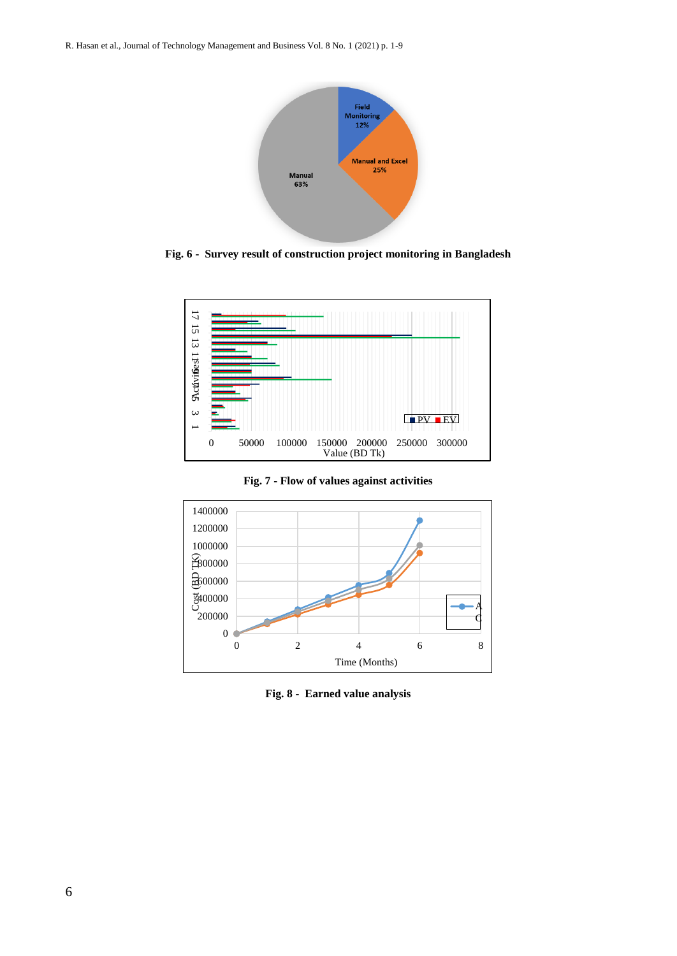

**Fig. 6 - Survey result of construction project monitoring in Bangladesh**



**Fig. 7 - Flow of values against activities**



**Fig. 8 - Earned value analysis**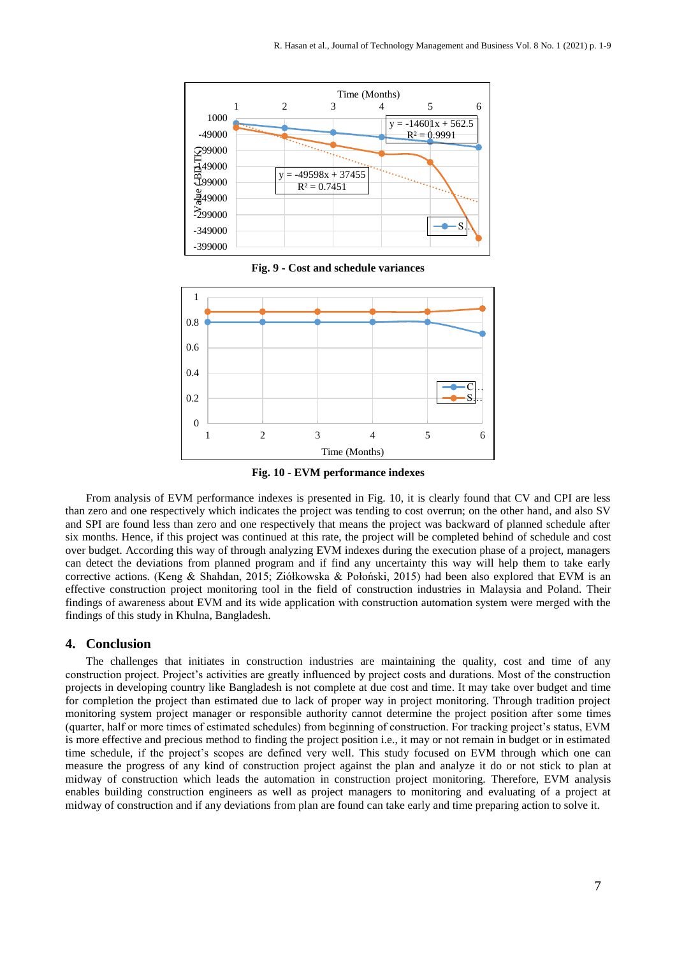

**Fig. 9 - Cost and schedule variances**



**Fig. 10 - EVM performance indexes**

From analysis of EVM performance indexes is presented in Fig. 10, it is clearly found that CV and CPI are less than zero and one respectively which indicates the project was tending to cost overrun; on the other hand, and also SV and SPI are found less than zero and one respectively that means the project was backward of planned schedule after six months. Hence, if this project was continued at this rate, the project will be completed behind of schedule and cost over budget. According this way of through analyzing EVM indexes during the execution phase of a project, managers can detect the deviations from planned program and if find any uncertainty this way will help them to take early corrective actions. (Keng & Shahdan, 2015; Ziółkowska & Połoński, 2015) had been also explored that EVM is an effective construction project monitoring tool in the field of construction industries in Malaysia and Poland. Their findings of awareness about EVM and its wide application with construction automation system were merged with the findings of this study in Khulna, Bangladesh.

#### **4. Conclusion**

The challenges that initiates in construction industries are maintaining the quality, cost and time of any construction project. Project's activities are greatly influenced by project costs and durations. Most of the construction projects in developing country like Bangladesh is not complete at due cost and time. It may take over budget and time for completion the project than estimated due to lack of proper way in project monitoring. Through tradition project monitoring system project manager or responsible authority cannot determine the project position after some times (quarter, half or more times of estimated schedules) from beginning of construction. For tracking project's status, EVM is more effective and precious method to finding the project position i.e., it may or not remain in budget or in estimated time schedule, if the project's scopes are defined very well. This study focused on EVM through which one can measure the progress of any kind of construction project against the plan and analyze it do or not stick to plan at midway of construction which leads the automation in construction project monitoring. Therefore, EVM analysis enables building construction engineers as well as project managers to monitoring and evaluating of a project at midway of construction and if any deviations from plan are found can take early and time preparing action to solve it.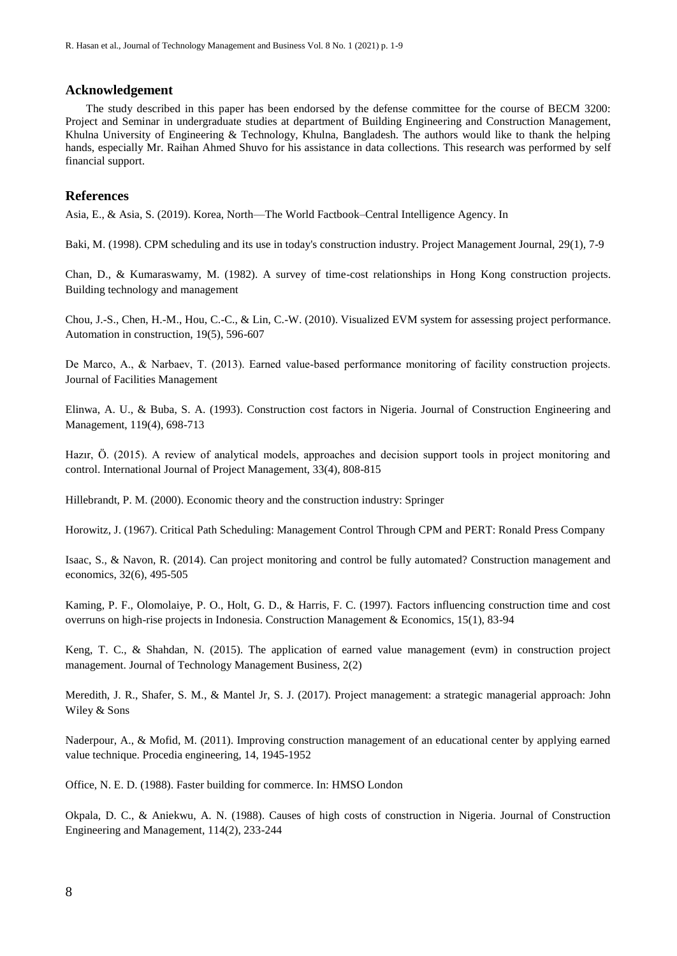## **Acknowledgement**

The study described in this paper has been endorsed by the defense committee for the course of BECM 3200: Project and Seminar in undergraduate studies at department of Building Engineering and Construction Management, Khulna University of Engineering & Technology, Khulna, Bangladesh. The authors would like to thank the helping hands, especially Mr. Raihan Ahmed Shuvo for his assistance in data collections. This research was performed by self financial support.

## **References**

Asia, E., & Asia, S. (2019). Korea, North—The World Factbook–Central Intelligence Agency. In

Baki, M. (1998). CPM scheduling and its use in today's construction industry. Project Management Journal, 29(1), 7-9

Chan, D., & Kumaraswamy, M. (1982). A survey of time-cost relationships in Hong Kong construction projects. Building technology and management

Chou, J.-S., Chen, H.-M., Hou, C.-C., & Lin, C.-W. (2010). Visualized EVM system for assessing project performance. Automation in construction, 19(5), 596-607

De Marco, A., & Narbaev, T. (2013). Earned value-based performance monitoring of facility construction projects. Journal of Facilities Management

Elinwa, A. U., & Buba, S. A. (1993). Construction cost factors in Nigeria. Journal of Construction Engineering and Management, 119(4), 698-713

Hazır, Ö. (2015). A review of analytical models, approaches and decision support tools in project monitoring and control. International Journal of Project Management, 33(4), 808-815

Hillebrandt, P. M. (2000). Economic theory and the construction industry: Springer

Horowitz, J. (1967). Critical Path Scheduling: Management Control Through CPM and PERT: Ronald Press Company

Isaac, S., & Navon, R. (2014). Can project monitoring and control be fully automated? Construction management and economics, 32(6), 495-505

Kaming, P. F., Olomolaiye, P. O., Holt, G. D., & Harris, F. C. (1997). Factors influencing construction time and cost overruns on high-rise projects in Indonesia. Construction Management & Economics, 15(1), 83-94

Keng, T. C., & Shahdan, N. (2015). The application of earned value management (evm) in construction project management. Journal of Technology Management Business, 2(2)

Meredith, J. R., Shafer, S. M., & Mantel Jr, S. J. (2017). Project management: a strategic managerial approach: John Wiley & Sons

Naderpour, A., & Mofid, M. (2011). Improving construction management of an educational center by applying earned value technique. Procedia engineering, 14, 1945-1952

Office, N. E. D. (1988). Faster building for commerce. In: HMSO London

Okpala, D. C., & Aniekwu, A. N. (1988). Causes of high costs of construction in Nigeria. Journal of Construction Engineering and Management, 114(2), 233-244